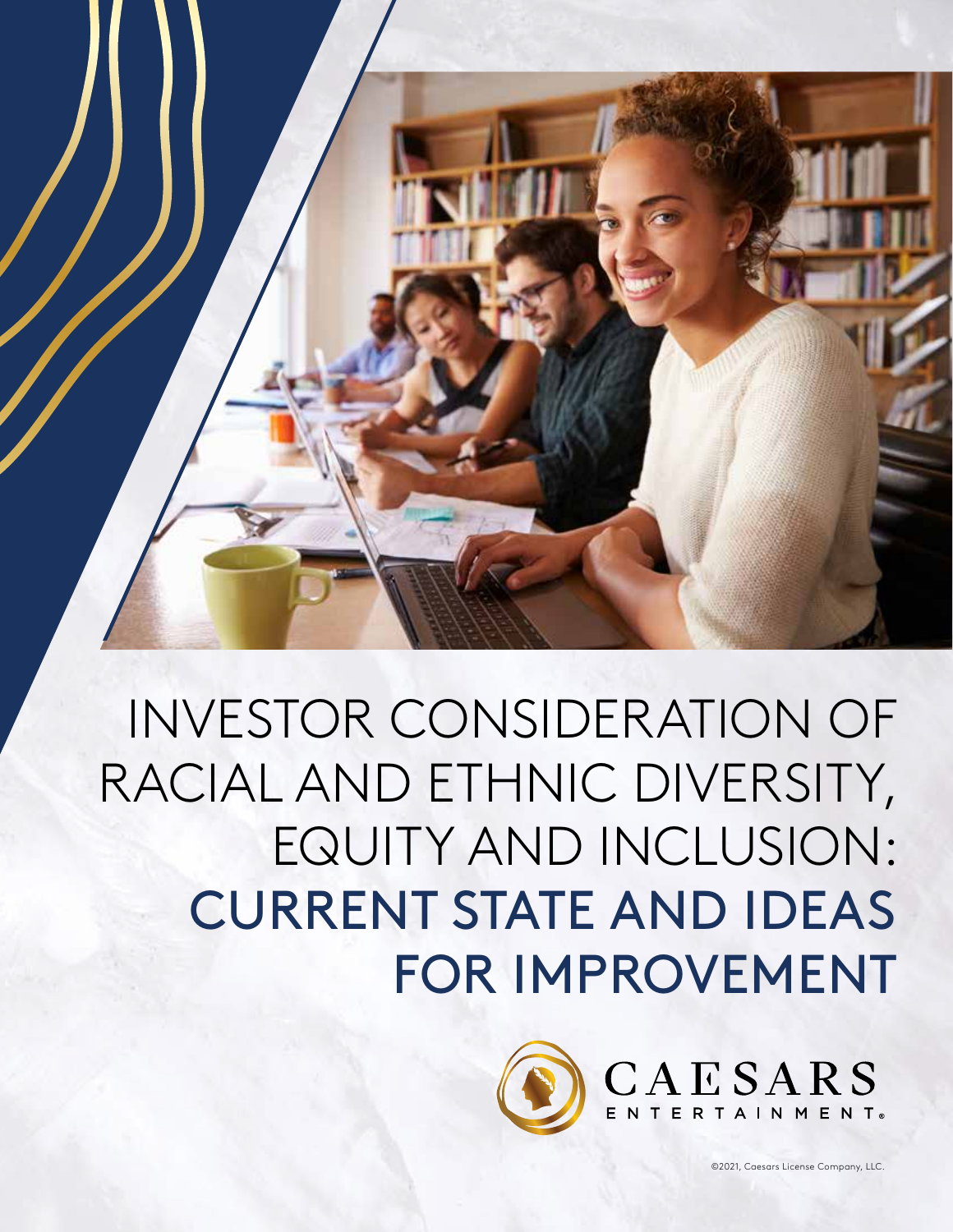

INVESTOR CONSIDERATION OF RACIAL AND ETHNIC DIVERSITY, EQUITY AND INCLUSION: CURRENT STATE AND IDEAS FOR IMPROVEMENT

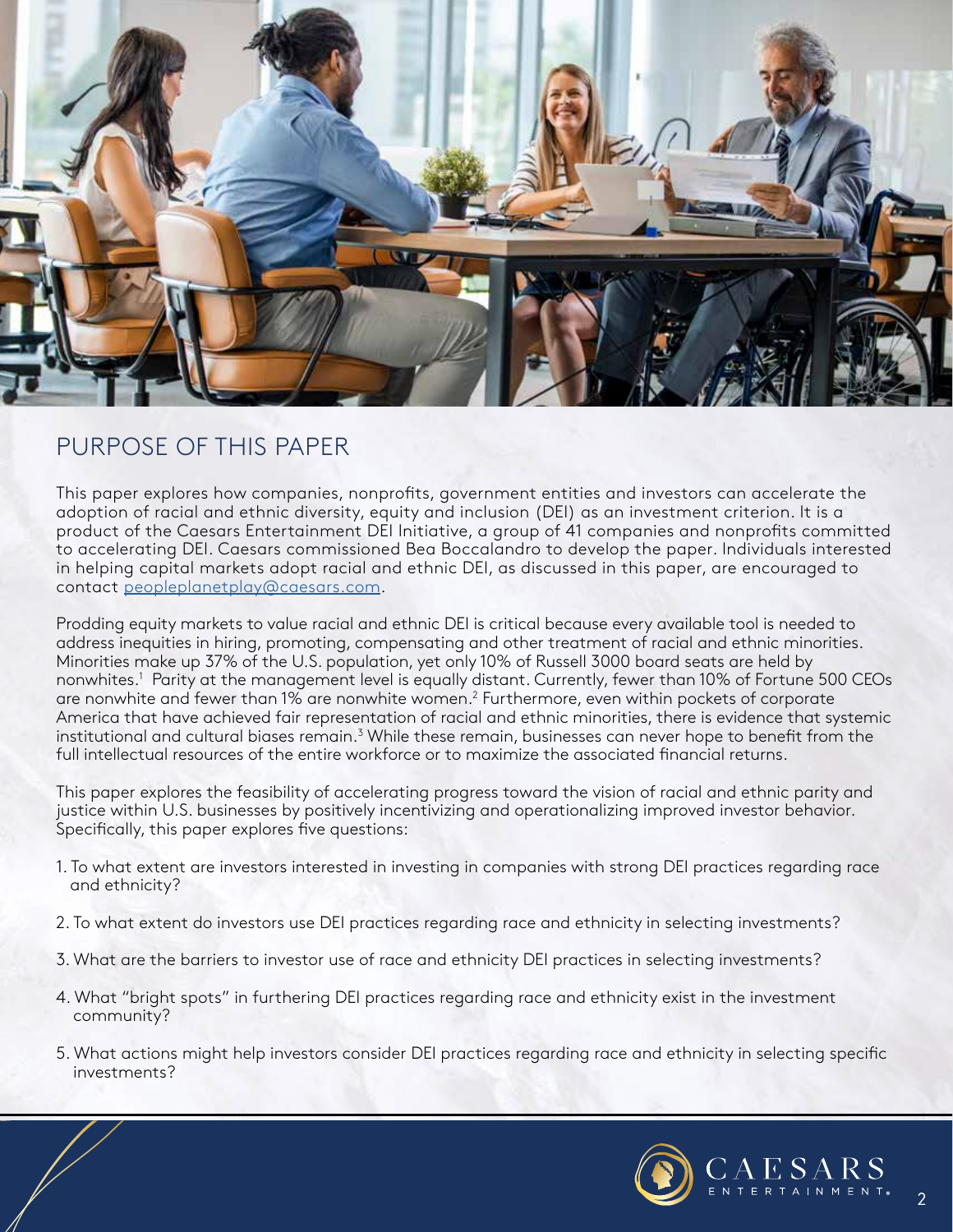

## PURPOSE OF THIS PAPER

This paper explores how companies, nonprofits, government entities and investors can accelerate the adoption of racial and ethnic diversity, equity and inclusion (DEI) as an investment criterion. It is a product of the Caesars Entertainment DEI Initiative, a group of 41 companies and nonprofits committed to accelerating DEI. Caesars commissioned Bea Boccalandro to develop the paper. Individuals interested in helping capital markets adopt racial and ethnic DEI, as discussed in this paper, are encouraged to contact peopleplanetplay@caesars.com.

Prodding equity markets to value racial and ethnic DEI is critical because every available tool is needed to address inequities in hiring, promoting, compensating and other treatment of racial and ethnic minorities. Minorities make up 37% of the U.S. population, yet only 10% of Russell 3000 board seats are held by nonwhites.1 Parity at the management level is equally distant. Currently, fewer than 10% of Fortune 500 CEOs are nonwhite and fewer than 1% are nonwhite women. $^2$  Furthermore, even within pockets of corporate America that have achieved fair representation of racial and ethnic minorities, there is evidence that systemic institutional and cultural biases remain.<sup>3</sup> While these remain, businesses can never hope to benefit from the full intellectual resources of the entire workforce or to maximize the associated financial returns.

This paper explores the feasibility of accelerating progress toward the vision of racial and ethnic parity and justice within U.S. businesses by positively incentivizing and operationalizing improved investor behavior. Specifically, this paper explores five questions:

- 1. To what extent are investors interested in investing in companies with strong DEI practices regarding race and ethnicity?
- 2. To what extent do investors use DEI practices regarding race and ethnicity in selecting investments?
- 3. What are the barriers to investor use of race and ethnicity DEI practices in selecting investments?
- 4. What "bright spots" in furthering DEI practices regarding race and ethnicity exist in the investment community?
- 5. What actions might help investors consider DEI practices regarding race and ethnicity in selecting specific investments?



 $\overline{2}$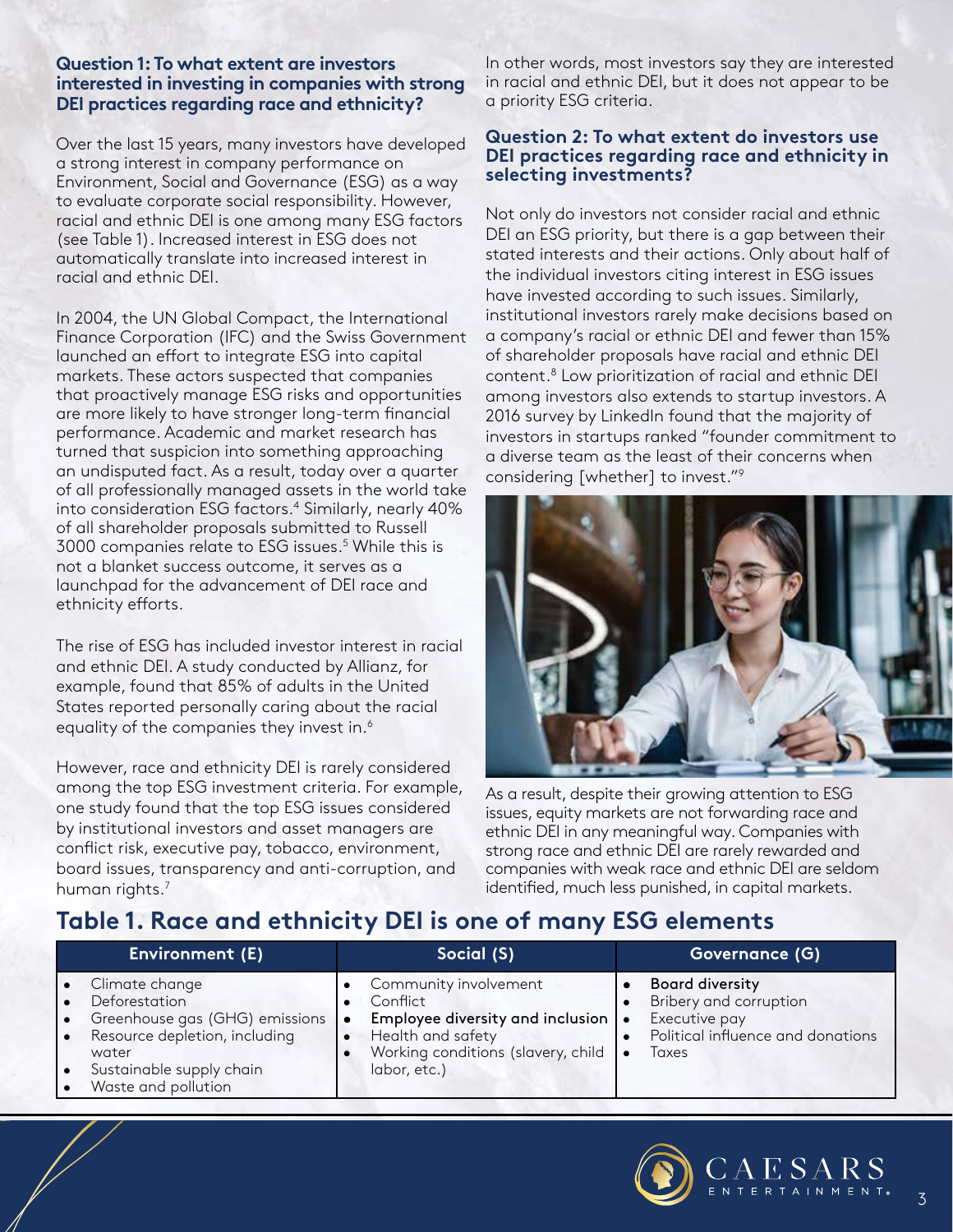### **Question 1: To what extent are investors interested in investing in companies with strong DEI practices regarding race and ethnicity?**

Over the last 15 years, many investors have developed a strong interest in company performance on Environment, Social and Governance (ESG) as a way to evaluate corporate social responsibility. However, racial and ethnic DEI is one among many ESG factors (see Table 1). Increased interest in ESG does not automatically translate into increased interest in racial and ethnic DEI.

In 2004, the UN Global Compact, the International Finance Corporation (IFC) and the Swiss Government launched an effort to integrate ESG into capital markets. These actors suspected that companies that proactively manage ESG risks and opportunities are more likely to have stronger long-term financial performance. Academic and market research has turned that suspicion into something approaching an undisputed fact. As a result, today over a quarter of all professionally managed assets in the world take into consideration ESG factors.4 Similarly, nearly 40% of all shareholder proposals submitted to Russell 3000 companies relate to ESG issues.5 While this is not a blanket success outcome, it serves as a launchpad for the advancement of DEI race and ethnicity efforts.

The rise of ESG has included investor interest in racial and ethnic DEI. A study conducted by Allianz, for example, found that 85% of adults in the United States reported personally caring about the racial equality of the companies they invest in.<sup>6</sup>

However, race and ethnicity DEI is rarely considered among the top ESG investment criteria. For example, one study found that the top ESG issues considered by institutional investors and asset managers are conflict risk, executive pay, tobacco, environment, board issues, transparency and anti-corruption, and human rights.7

In other words, most investors say they are interested in racial and ethnic DEI, but it does not appear to be a priority ESG criteria.

### **Question 2: To what extent do investors use DEI practices regarding race and ethnicity in selecting investments?**

Not only do investors not consider racial and ethnic DEI an ESG priority, but there is a gap between their stated interests and their actions. Only about half of the individual investors citing interest in ESG issues have invested according to such issues. Similarly, institutional investors rarely make decisions based on a company's racial or ethnic DEI and fewer than 15% of shareholder proposals have racial and ethnic DEI content.8 Low prioritization of racial and ethnic DEI among investors also extends to startup investors. A 2016 survey by LinkedIn found that the majority of investors in startups ranked "founder commitment to a diverse team as the least of their concerns when considering [whether] to invest."9



As a result, despite their growing attention to ESG issues, equity markets are not forwarding race and ethnic DEI in any meaningful way. Companies with strong race and ethnic DEI are rarely rewarded and companies with weak race and ethnic DEI are seldom identified, much less punished, in capital markets.

# **Table 1. Race and ethnicity DEI is one of many ESG elements**

| Environment (E)                                                                                                                                                                              | Social (S)                                                                                                                                         | Governance (G)                                                                                                  |
|----------------------------------------------------------------------------------------------------------------------------------------------------------------------------------------------|----------------------------------------------------------------------------------------------------------------------------------------------------|-----------------------------------------------------------------------------------------------------------------|
| Climate change<br>l e<br>Deforestation<br>Greenhouse gas (GHG) emissions<br>l e<br>Resource depletion, including<br>ا • ا<br>water<br>Sustainable supply chain<br>l e<br>Waste and pollution | Community involvement<br>Conflict<br>Employee diversity and inclusion  <br>Health and safety<br>Working conditions (slavery, child<br>labor, etc.) | <b>Board diversity</b><br>Bribery and corruption<br>Executive pay<br>Political influence and donations<br>Taxes |

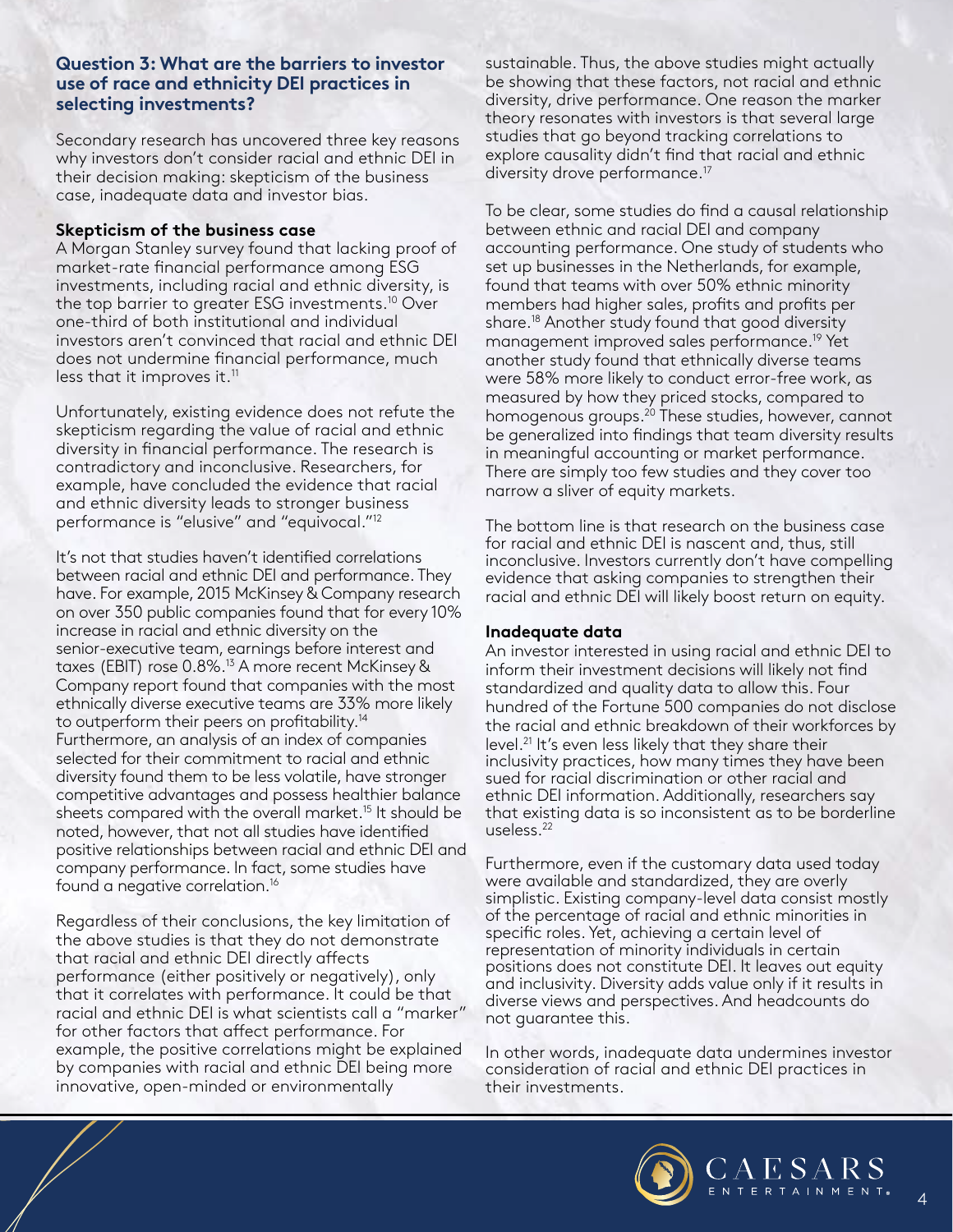### **Question 3: What are the barriers to investor use of race and ethnicity DEI practices in selecting investments?**

Secondary research has uncovered three key reasons why investors don't consider racial and ethnic DEI in their decision making: skepticism of the business case, inadequate data and investor bias.

#### **Skepticism of the business case**

A Morgan Stanley survey found that lacking proof of market-rate financial performance among ESG investments, including racial and ethnic diversity, is the top barrier to greater ESG investments.10 Over one-third of both institutional and individual investors aren't convinced that racial and ethnic DEI does not undermine financial performance, much less that it improves it. $11$ 

Unfortunately, existing evidence does not refute the skepticism regarding the value of racial and ethnic diversity in financial performance. The research is contradictory and inconclusive. Researchers, for example, have concluded the evidence that racial and ethnic diversity leads to stronger business performance is "elusive" and "equivocal."12

It's not that studies haven't identified correlations between racial and ethnic DEI and performance. They have. For example, 2015 McKinsey & Company research on over 350 public companies found that for every 10% increase in racial and ethnic diversity on the senior-executive team, earnings before interest and taxes (EBIT) rose 0.8%.<sup>13</sup> A more recent McKinsey & Company report found that companies with the most ethnically diverse executive teams are 33% more likely to outperform their peers on profitability.<sup>14</sup> Furthermore, an analysis of an index of companies selected for their commitment to racial and ethnic diversity found them to be less volatile, have stronger competitive advantages and possess healthier balance sheets compared with the overall market.<sup>15</sup> It should be noted, however, that not all studies have identified positive relationships between racial and ethnic DEI and company performance. In fact, some studies have found a negative correlation.16

Regardless of their conclusions, the key limitation of the above studies is that they do not demonstrate that racial and ethnic DEI directly affects performance (either positively or negatively), only that it correlates with performance. It could be that racial and ethnic DEI is what scientists call a "marker" for other factors that affect performance. For example, the positive correlations might be explained by companies with racial and ethnic DEI being more innovative, open-minded or environmentally

sustainable. Thus, the above studies might actually be showing that these factors, not racial and ethnic diversity, drive performance. One reason the marker theory resonates with investors is that several large studies that go beyond tracking correlations to explore causality didn't find that racial and ethnic diversity drove performance.<sup>17</sup>

To be clear, some studies do find a causal relationship between ethnic and racial DEI and company accounting performance. One study of students who set up businesses in the Netherlands, for example, found that teams with over 50% ethnic minority members had higher sales, profits and profits per share.<sup>18</sup> Another study found that good diversity management improved sales performance.19 Yet another study found that ethnically diverse teams were 58% more likely to conduct error-free work, as measured by how they priced stocks, compared to homogenous groups.<sup>20</sup> These studies, however, cannot be generalized into findings that team diversity results in meaningful accounting or market performance. There are simply too few studies and they cover too narrow a sliver of equity markets.

The bottom line is that research on the business case for racial and ethnic DEI is nascent and, thus, still inconclusive. Investors currently don't have compelling evidence that asking companies to strengthen their racial and ethnic DEI will likely boost return on equity.

#### **Inadequate data**

An investor interested in using racial and ethnic DEI to inform their investment decisions will likely not find standardized and quality data to allow this. Four hundred of the Fortune 500 companies do not disclose the racial and ethnic breakdown of their workforces by level.21 It's even less likely that they share their inclusivity practices, how many times they have been sued for racial discrimination or other racial and ethnic DEI information. Additionally, researchers say that existing data is so inconsistent as to be borderline useless.22

Furthermore, even if the customary data used today were available and standardized, they are overly simplistic. Existing company-level data consist mostly of the percentage of racial and ethnic minorities in specific roles. Yet, achieving a certain level of representation of minority individuals in certain positions does not constitute DEI. It leaves out equity and inclusivity. Diversity adds value only if it results in diverse views and perspectives. And headcounts do not guarantee this.

In other words, inadequate data undermines investor consideration of racial and ethnic DEI practices in their investments.



4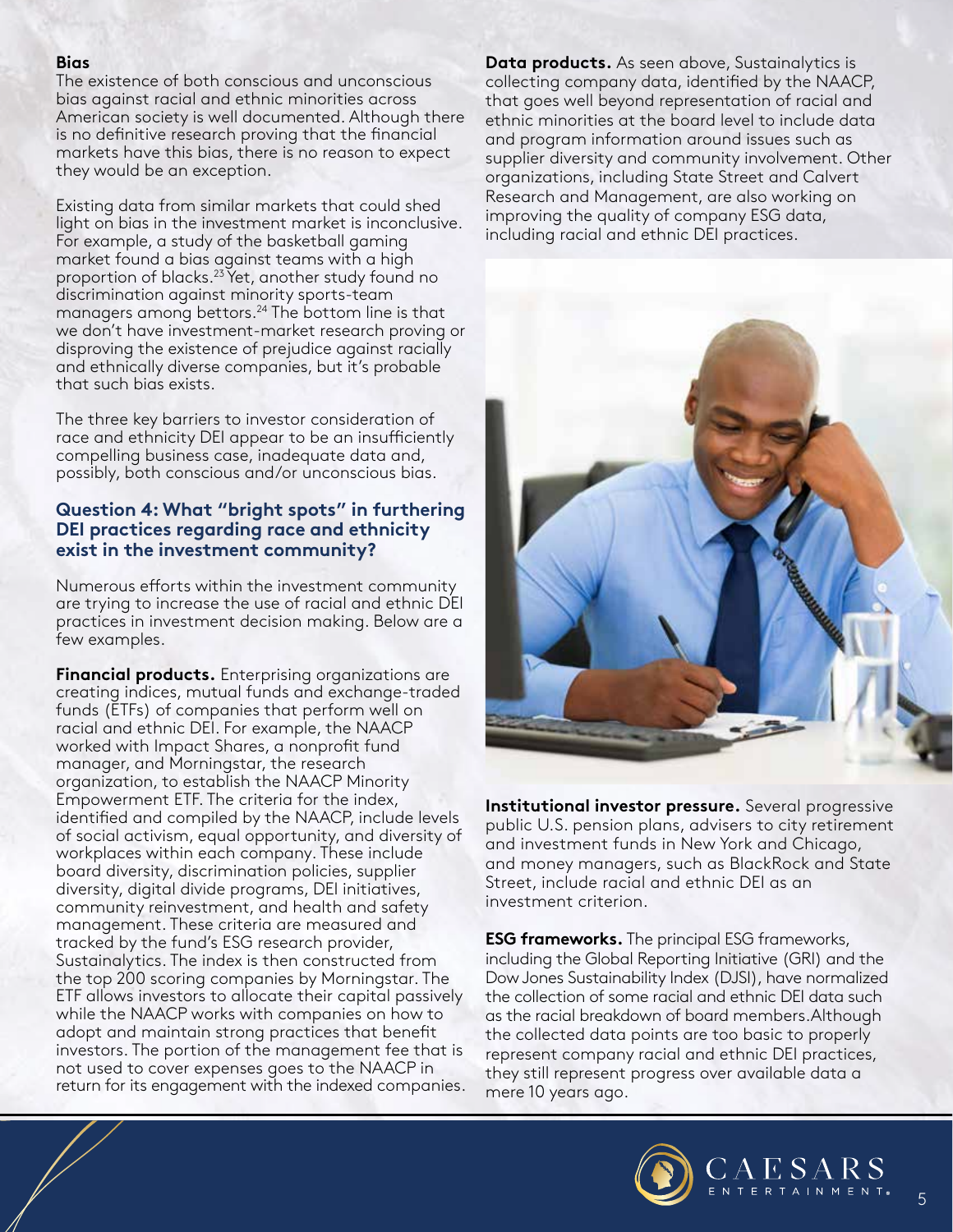#### **Bias**

The existence of both conscious and unconscious bias against racial and ethnic minorities across American society is well documented. Although there is no definitive research proving that the financial markets have this bias, there is no reason to expect they would be an exception.

Existing data from similar markets that could shed light on bias in the investment market is inconclusive. For example, a study of the basketball gaming market found a bias against teams with a high proportion of blacks.23 Yet, another study found no discrimination against minority sports-team managers among bettors.<sup>24</sup> The bottom line is that we don't have investment-market research proving or disproving the existence of prejudice against racially and ethnically diverse companies, but it's probable that such bias exists.

The three key barriers to investor consideration of race and ethnicity DEI appear to be an insufficiently compelling business case, inadequate data and, possibly, both conscious and/or unconscious bias.

## **Question 4: What "bright spots" in furthering DEI practices regarding race and ethnicity exist in the investment community?**

Numerous efforts within the investment community are trying to increase the use of racial and ethnic DEI practices in investment decision making. Below are a few examples.

**Financial products.** Enterprising organizations are creating indices, mutual funds and exchange-traded funds (ETFs) of companies that perform well on racial and ethnic DEI. For example, the NAACP worked with Impact Shares, a nonprofit fund manager, and Morningstar, the research organization, to establish the NAACP Minority Empowerment ETF. The criteria for the index, identified and compiled by the NAACP, include levels of social activism, equal opportunity, and diversity of workplaces within each company. These include board diversity, discrimination policies, supplier diversity, digital divide programs, DEI initiatives, community reinvestment, and health and safety management. These criteria are measured and tracked by the fund's ESG research provider, Sustainalytics. The index is then constructed from the top 200 scoring companies by Morningstar. The ETF allows investors to allocate their capital passively while the NAACP works with companies on how to adopt and maintain strong practices that benefit investors. The portion of the management fee that is not used to cover expenses goes to the NAACP in return for its engagement with the indexed companies. **Data products.** As seen above, Sustainalytics is collecting company data, identified by the NAACP, that goes well beyond representation of racial and ethnic minorities at the board level to include data and program information around issues such as supplier diversity and community involvement. Other organizations, including State Street and Calvert Research and Management, are also working on improving the quality of company ESG data, including racial and ethnic DEI practices.



**Institutional investor pressure.** Several progressive public U.S. pension plans, advisers to city retirement and investment funds in New York and Chicago, and money managers, such as BlackRock and State Street, include racial and ethnic DEI as an investment criterion.

**ESG frameworks.** The principal ESG frameworks, including the Global Reporting Initiative (GRI) and the Dow Jones Sustainability Index (DJSI), have normalized the collection of some racial and ethnic DEI data such as the racial breakdown of board members.Although the collected data points are too basic to properly represent company racial and ethnic DEI practices, they still represent progress over available data a mere 10 years ago.



5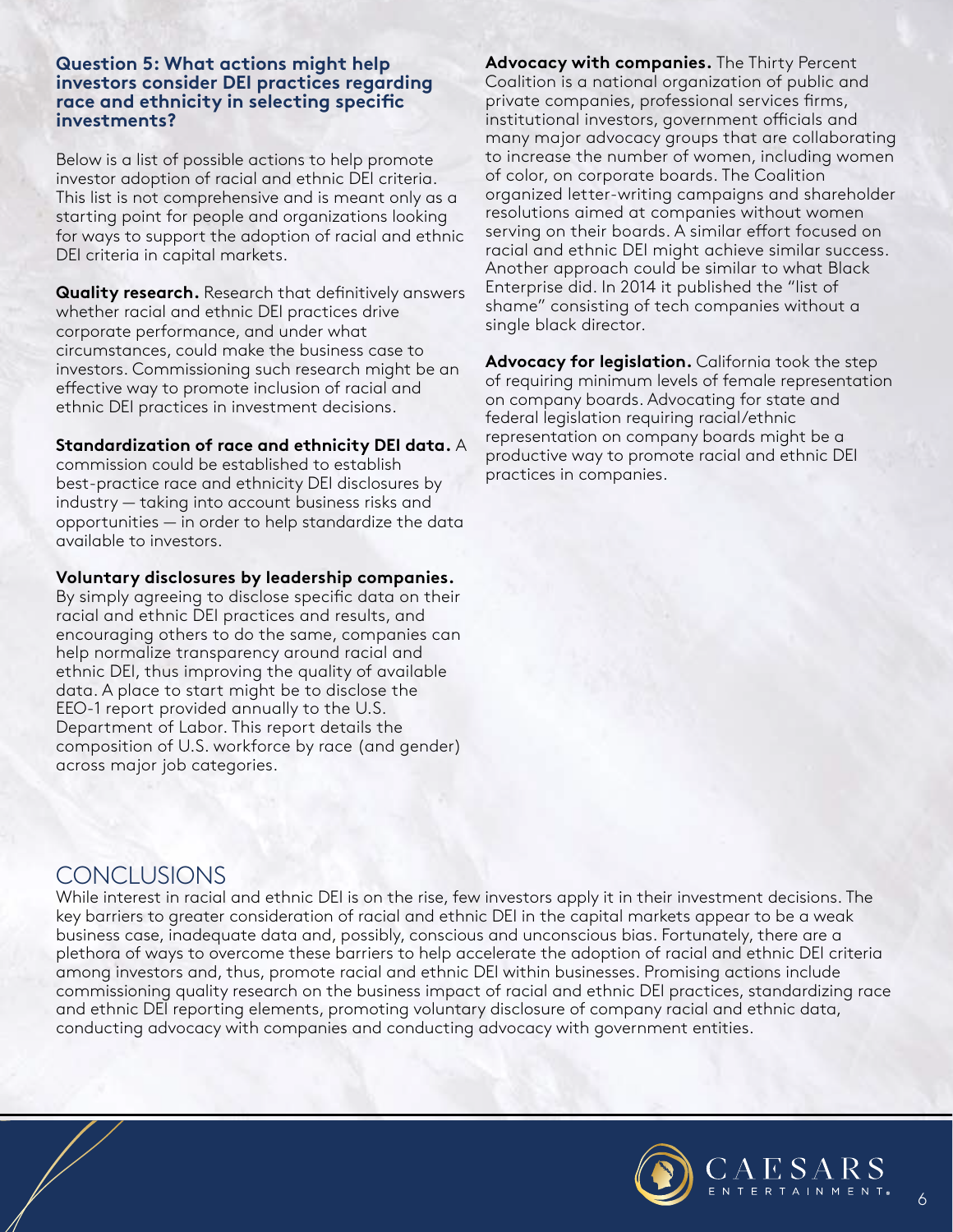#### **Question 5: What actions might help investors consider DEI practices regarding race and ethnicity in selecting specific investments?**

Below is a list of possible actions to help promote investor adoption of racial and ethnic DEI criteria. This list is not comprehensive and is meant only as a starting point for people and organizations looking for ways to support the adoption of racial and ethnic DEI criteria in capital markets.

**Quality research.** Research that definitively answers whether racial and ethnic DEI practices drive corporate performance, and under what circumstances, could make the business case to investors. Commissioning such research might be an effective way to promote inclusion of racial and ethnic DEI practices in investment decisions.

#### **Standardization of race and ethnicity DEI data.** A

commission could be established to establish best-practice race and ethnicity DEI disclosures by industry — taking into account business risks and opportunities — in order to help standardize the data available to investors.

#### **Voluntary disclosures by leadership companies.**

By simply agreeing to disclose specific data on their racial and ethnic DEI practices and results, and encouraging others to do the same, companies can help normalize transparency around racial and ethnic DEI, thus improving the quality of available data. A place to start might be to disclose the EEO-1 report provided annually to the U.S. Department of Labor. This report details the composition of U.S. workforce by race (and gender) across major job categories.

**Advocacy with companies.** The Thirty Percent Coalition is a national organization of public and private companies, professional services firms, institutional investors, government officials and many major advocacy groups that are collaborating to increase the number of women, including women of color, on corporate boards. The Coalition organized letter-writing campaigns and shareholder resolutions aimed at companies without women serving on their boards. A similar effort focused on racial and ethnic DEI might achieve similar success. Another approach could be similar to what Black Enterprise did. In 2014 it published the "list of shame" consisting of tech companies without a single black director.

**Advocacy for legislation.** California took the step of requiring minimum levels of female representation on company boards. Advocating for state and federal legislation requiring racial/ethnic representation on company boards might be a productive way to promote racial and ethnic DEI practices in companies.

## **CONCLUSIONS**

While interest in racial and ethnic DEI is on the rise, few investors apply it in their investment decisions. The key barriers to greater consideration of racial and ethnic DEI in the capital markets appear to be a weak business case, inadequate data and, possibly, conscious and unconscious bias. Fortunately, there are a plethora of ways to overcome these barriers to help accelerate the adoption of racial and ethnic DEI criteria among investors and, thus, promote racial and ethnic DEI within businesses. Promising actions include commissioning quality research on the business impact of racial and ethnic DEI practices, standardizing race and ethnic DEI reporting elements, promoting voluntary disclosure of company racial and ethnic data, conducting advocacy with companies and conducting advocacy with government entities.



6